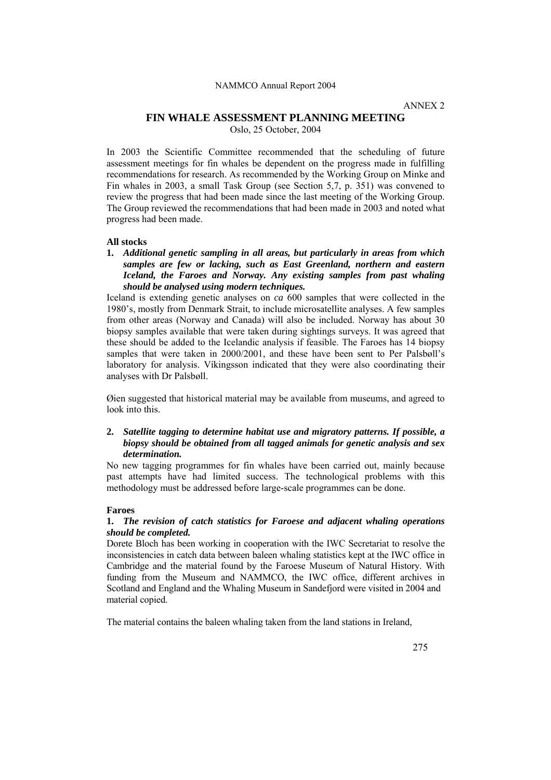#### NAMMCO Annual Report 2004

ANNEX 2

# **FIN WHALE ASSESSMENT PLANNING MEETING**

Oslo, 25 October, 2004

In 2003 the Scientific Committee recommended that the scheduling of future assessment meetings for fin whales be dependent on the progress made in fulfilling recommendations for research. As recommended by the Working Group on Minke and Fin whales in 2003, a small Task Group (see Section 5,7, p. 351) was convened to review the progress that had been made since the last meeting of the Working Group. The Group reviewed the recommendations that had been made in 2003 and noted what progress had been made.

#### **All stocks**

**1.** *Additional genetic sampling in all areas, but particularly in areas from which samples are few or lacking, such as East Greenland, northern and eastern Iceland, the Faroes and Norway. Any existing samples from past whaling should be analysed using modern techniques.* 

Iceland is extending genetic analyses on *ca* 600 samples that were collected in the 1980's, mostly from Denmark Strait, to include microsatellite analyses. A few samples from other areas (Norway and Canada) will also be included. Norway has about 30 biopsy samples available that were taken during sightings surveys. It was agreed that these should be added to the Icelandic analysis if feasible. The Faroes has 14 biopsy samples that were taken in 2000/2001, and these have been sent to Per Palsbøll's laboratory for analysis. Víkingsson indicated that they were also coordinating their analyses with Dr Palsbøll.

Øien suggested that historical material may be available from museums, and agreed to look into this.

# **2.** *Satellite tagging to determine habitat use and migratory patterns. If possible, a biopsy should be obtained from all tagged animals for genetic analysis and sex determination.*

No new tagging programmes for fin whales have been carried out, mainly because past attempts have had limited success. The technological problems with this methodology must be addressed before large-scale programmes can be done.

#### **Faroes**

# **1.** *The revision of catch statistics for Faroese and adjacent whaling operations should be completed.*

Dorete Bloch has been working in cooperation with the IWC Secretariat to resolve the inconsistencies in catch data between baleen whaling statistics kept at the IWC office in Cambridge and the material found by the Faroese Museum of Natural History. With funding from the Museum and NAMMCO, the IWC office, different archives in Scotland and England and the Whaling Museum in Sandefjord were visited in 2004 and material copied.

The material contains the baleen whaling taken from the land stations in Ireland,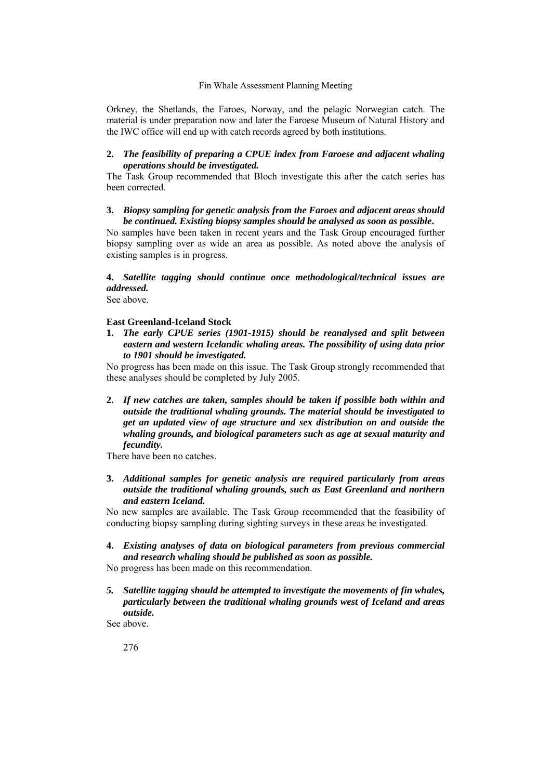# Fin Whale Assessment Planning Meeting

Orkney, the Shetlands, the Faroes, Norway, and the pelagic Norwegian catch. The material is under preparation now and later the Faroese Museum of Natural History and the IWC office will end up with catch records agreed by both institutions.

# **2.** *The feasibility of preparing a CPUE index from Faroese and adjacent whaling operations should be investigated.*

The Task Group recommended that Bloch investigate this after the catch series has been corrected.

#### **3.** *Biopsy sampling for genetic analysis from the Faroes and adjacent areas should be continued. Existing biopsy samples should be analysed as soon as possible***.**

No samples have been taken in recent years and the Task Group encouraged further biopsy sampling over as wide an area as possible. As noted above the analysis of existing samples is in progress.

**4.** *Satellite tagging should continue once methodological/technical issues are addressed.*

See above.

# **East Greenland-Iceland Stock**

**1.** *The early CPUE series (1901-1915) should be reanalysed and split between eastern and western Icelandic whaling areas. The possibility of using data prior to 1901 should be investigated.*

No progress has been made on this issue. The Task Group strongly recommended that these analyses should be completed by July 2005.

**2.** *If new catches are taken, samples should be taken if possible both within and outside the traditional whaling grounds. The material should be investigated to get an updated view of age structure and sex distribution on and outside the whaling grounds, and biological parameters such as age at sexual maturity and fecundity.* 

There have been no catches.

**3.** *Additional samples for genetic analysis are required particularly from areas outside the traditional whaling grounds, such as East Greenland and northern and eastern Iceland.*

No new samples are available. The Task Group recommended that the feasibility of conducting biopsy sampling during sighting surveys in these areas be investigated.

**4.** *Existing analyses of data on biological parameters from previous commercial and research whaling should be published as soon as possible.* 

No progress has been made on this recommendation.

*5. Satellite tagging should be attempted to investigate the movements of fin whales, particularly between the traditional whaling grounds west of Iceland and areas outside.* 

See above.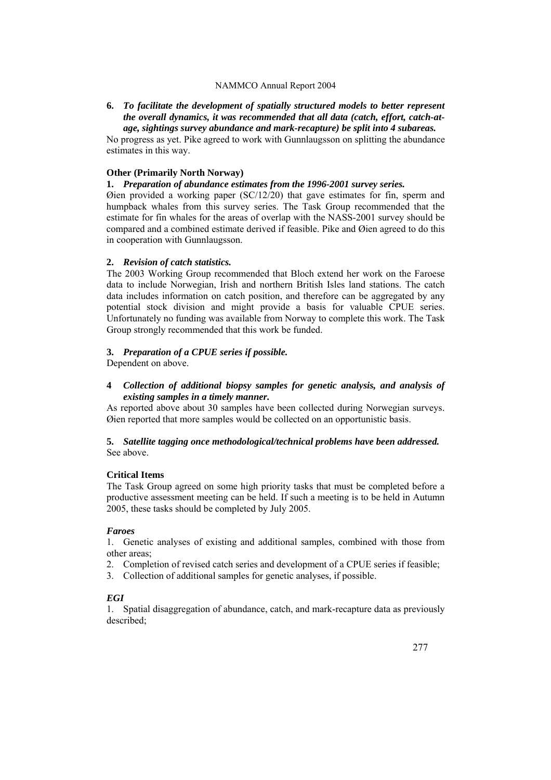#### NAMMCO Annual Report 2004

# **6.** *To facilitate the development of spatially structured models to better represent the overall dynamics, it was recommended that all data (catch, effort, catch-atage, sightings survey abundance and mark-recapture) be split into 4 subareas.*

No progress as yet. Pike agreed to work with Gunnlaugsson on splitting the abundance estimates in this way.

#### **Other (Primarily North Norway)**

## **1.** *Preparation of abundance estimates from the 1996-2001 survey series.*

Øien provided a working paper (SC/12/20) that gave estimates for fin, sperm and humpback whales from this survey series. The Task Group recommended that the estimate for fin whales for the areas of overlap with the NASS-2001 survey should be compared and a combined estimate derived if feasible. Pike and Øien agreed to do this in cooperation with Gunnlaugsson.

#### **2.** *Revision of catch statistics.*

The 2003 Working Group recommended that Bloch extend her work on the Faroese data to include Norwegian, Irish and northern British Isles land stations. The catch data includes information on catch position, and therefore can be aggregated by any potential stock division and might provide a basis for valuable CPUE series. Unfortunately no funding was available from Norway to complete this work. The Task Group strongly recommended that this work be funded.

# **3.** *Preparation of a CPUE series if possible.*

Dependent on above.

# **4** *Collection of additional biopsy samples for genetic analysis, and analysis of existing samples in a timely manner.*

As reported above about 30 samples have been collected during Norwegian surveys. Øien reported that more samples would be collected on an opportunistic basis.

# **5.** *Satellite tagging once methodological/technical problems have been addressed.*  See above.

#### **Critical Items**

The Task Group agreed on some high priority tasks that must be completed before a productive assessment meeting can be held. If such a meeting is to be held in Autumn 2005, these tasks should be completed by July 2005.

#### *Faroes*

1. Genetic analyses of existing and additional samples, combined with those from other areas;

- 2. Completion of revised catch series and development of a CPUE series if feasible;
- 3. Collection of additional samples for genetic analyses, if possible.

# *EGI*

1. Spatial disaggregation of abundance, catch, and mark-recapture data as previously described;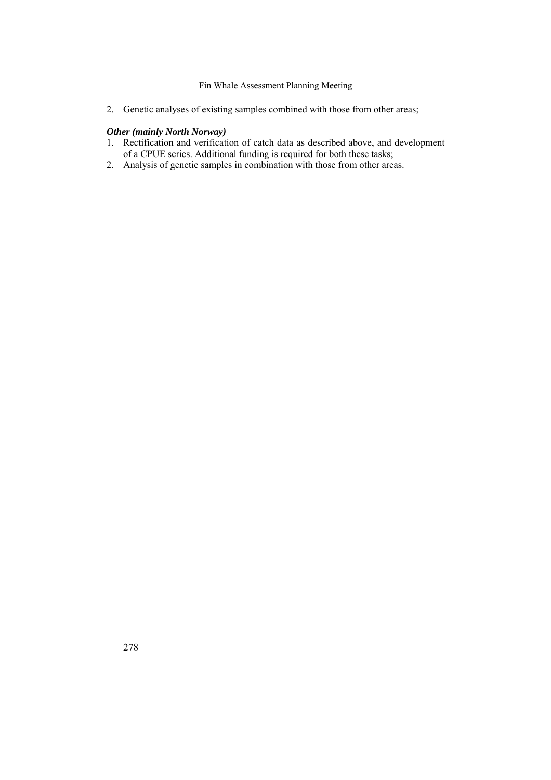# Fin Whale Assessment Planning Meeting

2. Genetic analyses of existing samples combined with those from other areas;

# *Other (mainly North Norway)*

- 1. Rectification and verification of catch data as described above, and development of a CPUE series. Additional funding is required for both these tasks;
- 2. Analysis of genetic samples in combination with those from other areas.